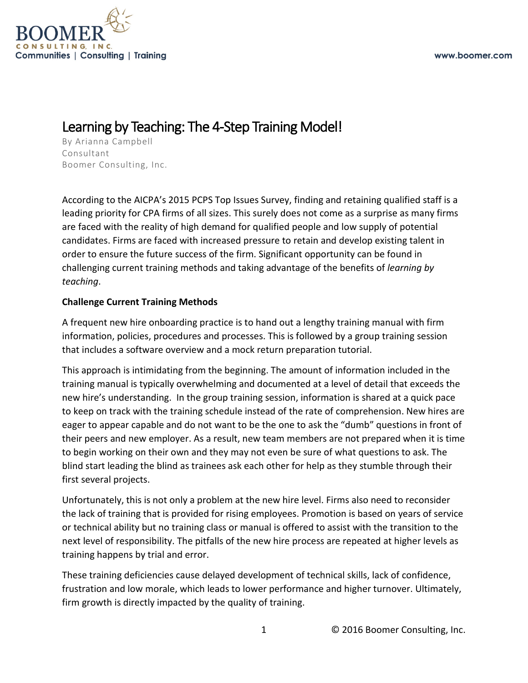

## Learning by Teaching: The 4-Step Training Model!<br>By Arianna Campbell

Consultant Boomer Consulting, Inc.

According to the AICPA's 2015 PCPS Top Issues Survey, finding and retaining qualified staff is a leading priority for CPA firms of all sizes. This surely does not come as a surprise as many firms are faced with the reality of high demand for qualified people and low supply of potential candidates. Firms are faced with increased pressure to retain and develop existing talent in order to ensure the future success of the firm. Significant opportunity can be found in challenging current training methods and taking advantage of the benefits of *learning by teaching*.

## **Challenge Current Training Methods**

A frequent new hire onboarding practice is to hand out a lengthy training manual with firm information, policies, procedures and processes. This is followed by a group training session that includes a software overview and a mock return preparation tutorial.

This approach is intimidating from the beginning. The amount of information included in the training manual is typically overwhelming and documented at a level of detail that exceeds the new hire's understanding. In the group training session, information is shared at a quick pace to keep on track with the training schedule instead of the rate of comprehension. New hires are eager to appear capable and do not want to be the one to ask the "dumb" questions in front of their peers and new employer. As a result, new team members are not prepared when it is time to begin working on their own and they may not even be sure of what questions to ask. The blind start leading the blind as trainees ask each other for help as they stumble through their first several projects.

Unfortunately, this is not only a problem at the new hire level. Firms also need to reconsider the lack of training that is provided for rising employees. Promotion is based on years of service or technical ability but no training class or manual is offered to assist with the transition to the next level of responsibility. The pitfalls of the new hire process are repeated at higher levels as training happens by trial and error.

These training deficiencies cause delayed development of technical skills, lack of confidence, frustration and low morale, which leads to lower performance and higher turnover. Ultimately, firm growth is directly impacted by the quality of training.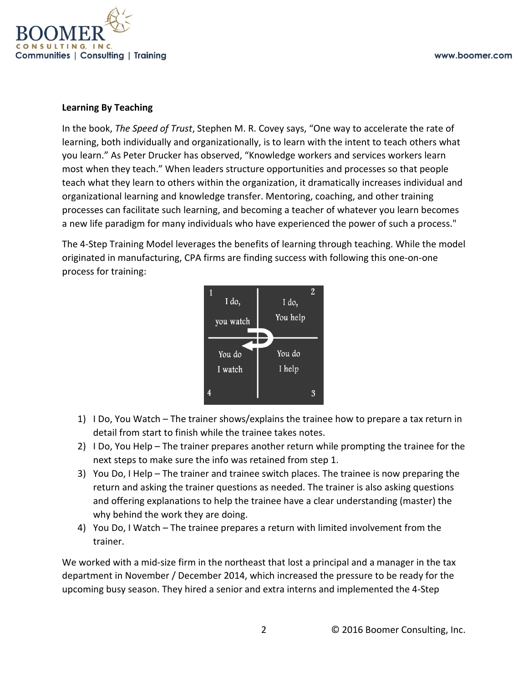

## **Learning By Teaching**

In the book, *The Speed of Trust*, Stephen M. R. Covey says, "One way to accelerate the rate of learning, both individually and organizationally, is to learn with the intent to teach others what you learn." As Peter Drucker has observed, "Knowledge workers and services workers learn most when they teach." When leaders structure opportunities and processes so that people teach what they learn to others within the organization, it dramatically increases individual and organizational learning and knowledge transfer. Mentoring, coaching, and other training processes can facilitate such learning, and becoming a teacher of whatever you learn becomes a new life paradigm for many individuals who have experienced the power of such a process."

The 4-Step Training Model leverages the benefits of learning through teaching. While the model originated in manufacturing, CPA firms are finding success with following this one-on-one process for training:



- 1) I Do, You Watch The trainer shows/explains the trainee how to prepare a tax return in detail from start to finish while the trainee takes notes.
- 2) I Do, You Help The trainer prepares another return while prompting the trainee for the next steps to make sure the info was retained from step 1.
- 3) You Do, I Help The trainer and trainee switch places. The trainee is now preparing the return and asking the trainer questions as needed. The trainer is also asking questions and offering explanations to help the trainee have a clear understanding (master) the why behind the work they are doing.
- 4) You Do, I Watch The trainee prepares a return with limited involvement from the trainer.

We worked with a mid-size firm in the northeast that lost a principal and a manager in the tax department in November / December 2014, which increased the pressure to be ready for the upcoming busy season. They hired a senior and extra interns and implemented the 4-Step